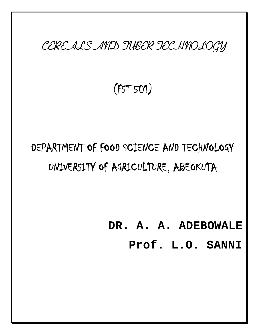*CEREALS AND TUBER TECHNOLOGY*

**(FST 501)**

# **DEPARTMENT OF FOOD SCIENCE AND TECHNOLOGY UNIVERSITY OF AGRICULTURE, ABEOKUTA**

**DR. A. A. ADEBOWALE**

**Prof. L.O. SANNI**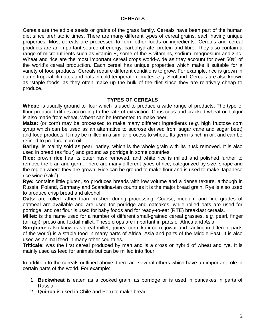# **CEREALS**

Cereals are the edible seeds or grains of the grass family. Cereals have been part of the human diet since prehistoric times. There are many different types of cereal grains, each having unique properties. Most cereals are processed to form other foods or ingredients. Cereals and cereal products are an important source of energy, carbohydrate, protein and fibre. They also contain a range of micronutrients such as vitamin E, some of the B vitamins, sodium, magnesium and zinc. Wheat and rice are the most important cereal crops world-wide as they account for over 50% of the world's cereal production. Each cereal has unique properties which make it suitable for a variety of food products. Cereals require different conditions to grow. For example, rice is grown in damp tropical climates and oats in cold temperate climates, *e.g.* Scotland. Cereals are also known as 'staple foods' as they often make up the bulk of the diet since they are relatively cheap to produce.

## **TYPES OF CEREALS**

**Wheat:** is usually ground to flour which is used to produce a wide range of products. The type of flour produced differs according to the rate of extraction. Cous cous and cracked wheat or bulgur is also made from wheat. Wheat can be fermented to make beer.

**Maize:** (or corn) may be processed to make many different ingredients (*e.g.* high fructose corn syrup which can be used as an alternative to sucrose derived from sugar cane and sugar beet) and food products. It may be milled in a similar process to wheat. Its germ is rich in oil, and can be refined to produce corn oil.

**Barley:** is mainly sold as pearl barley, which is the whole grain with its husk removed. It is also used in bread (as flour) and ground as porridge in some countries.

**Rice:** brown **rice** has its outer husk removed, and white rice is milled and polished further to remove the bran and germ. There are many different types of rice, categorized by size, shape and the region where they are grown. Rice can be ground to make flour and is used to make Japanese rice wine (saké).

**Rye:** contains little gluten, so produces breads with low volume and a dense texture, although in Russia, Poland, Germany and Scandinavian countries it is the major bread grain. Rye is also used to produce crisp bread and alcohol.

**Oats:** are rolled rather than crushed during processing. Coarse, medium and fine grades of oatmeal are available and are used for porridge and oatcakes, while rolled oats are used for porridge, and oat flour is used for baby foods and for ready-to-eat (RTE) breakfast cereals.

**Millet:** is the name used for a number of different small-grained cereal grasses, *e.g.* pearl, finger (or ragi), proso and foxtail millet. These crops are important in parts of Africa and Asia.

**Sorghum:** (also known as great millet, guinea corn, kafir corn, jowar and kaoling in different parts of the world) is a staple food in many parts of Africa, Asia and parts of the Middle East. It is also used as animal feed in many other countries.

**Triticale:** was the first cereal produced by man and is a cross or hybrid of wheat and rye. It is mainly used as feed for animals but can be milled into flour.

In addition to the cereals outlined above, there are several others which have an important role in certain parts of the world. For example:

- 1. **Buckwheat** is eaten as a cooked grain, as porridge or is used in pancakes in parts of Russia
- 2. **Quinoa** is used in Chile and Peru to make bread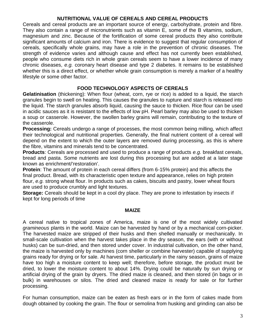# **NUTRITIONAL VALUE OF CEREALS AND CEREAL PRODUCTS**

Cereals and cereal products are an important source of energy, carbohydrate, protein and fibre. They also contain a range of micronutrients such as vitamin E, some of the B vitamins, sodium, magnesium and zinc. Because of the fortification of some cereal products they also contribute significant amounts of calcium and iron. There is evidence to suggest that regular consumption of cereals, specifically whole grains, may have a role in the prevention of chronic diseases. The strength of evidence varies and although cause and effect has not currently been established, people who consume diets rich in whole grain cereals seem to have a lower incidence of many chronic diseases, *e.g.* coronary heart disease and type 2 diabetes. It remains to be established whether this is a direct effect, or whether whole grain consumption is merely a marker of a healthy lifestyle or some other factor.

# **FOOD TECHNOLOGY ASPECTS OF CEREALS**

**Gelatinisation** (thickening): When flour (wheat, corn, rye or rice) is added to a liquid, the starch granules begin to swell on heating. This causes the granules to rupture and starch is released into the liquid. The starch granules absorb liquid, causing the sauce to thicken. Rice flour can be used in acidic sauces as it is resistant to the effects of low pH. Pearl barley may also be used to thicken a soup or casserole. However, the swollen barley grains will remain, contributing to the texture of the casserole.

**Processing:** Cereals undergo a range of processes, the most common being milling, which affect their technological and nutritional properties. Generally, the final nutrient content of a cereal will depend on the extent to which the outer layers are removed during processing, as this is where the fibre, vitamins and minerals tend to be concentrated.

**Products**: Cereals are processed and used to produce a range of products *e.g.* breakfast cereals, bread and pasta. Some nutrients are lost during this processing but are added at a later stage known as enrichment/'restoration'.

**Protein**: The amount of protein in each cereal differs (from 6-15% protein) and this affects the final product. Bread, with its characteristic open texture and appearance, relies on high protein flour, *e.g.* strong wheat flour. In products such as cakes, biscuits and pastry, lower wheat flours are used to produce crumbly and light textures.

**Storage:** Cereals should be kept in a cool dry place. They are prone to infestation by insects if kept for long periods of time

## **MAIZE**

A cereal native to tropical zones of America, maize is one of the most widely cultivated *gramineous* plants in the world. Maize can be harvested by hand or by a mechanical corn-picker. The harvested maize are stripped of their husks and then shelled manually or mechanically. In small-scale cultivation when the harvest takes place in the dry season, the ears (with or without husks) can be sun-dried, and then stored under cover. In industrial cultivation, on the other hand, the maize is harvested only by machines (corn sheller or combine harvester) capable of supplying grains ready for drying or for sale. At harvest time, particularly in the rainy season, grains of maize have too high a moisture content to keep well; therefore, before storage, the product must be dried, to lower the moisture content to about 14%. Drying could be naturally by sun drying or artificial drying of the grain by dryers. The dried maize is cleaned, and then stored (in bags or in bulk) in warehouses or silos. The dried and cleaned maize is ready for sale or for further processing.

For human consumption, maize can be eaten as fresh ears or in the form of cakes made from dough obtained by cooking the grain. The flour or semolina from husking and grinding can also be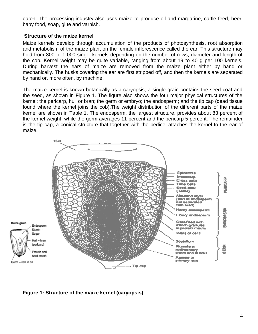eaten. The processing industry also uses maize to produce oil and margarine, cattle-feed, beer, baby food, soap, glue and varnish.

## **Structure of the maize kernel**

Maize kernels develop through accumulation of the products of photosynthesis, root absorption and metabolism of the maize plant on the female inflorescence called the ear. This structure may hold from 300 to 1 000 single kernels depending on the number of rows, diameter and length of the cob. Kernel weight may be quite variable, ranging from about 19 to 40 g per 100 kernels. During harvest the ears of maize are removed from the maize plant either by hand or mechanically. The husks covering the ear are first stripped off, and then the kernels are separated by hand or, more often, by machine.

The maize kernel is known botanically as a caryopsis; a single grain contains the seed coat and the seed, as shown in Figure 1. The figure also shows the four major physical structures of the kernel: the pericarp, hull or bran; the germ or embryo; the endosperm; and the tip cap (dead tissue found where the kernel joins the cob).The weight distribution of the different parts of the maize kernel are shown in Table 1. The endosperm, the largest structure, provides about 83 percent of the kernel weight, while the germ averages 11 percent and the pericarp 5 percent. The remainder is the tip cap, a conical structure that together with the pedicel attaches the kernel to the ear of maize.



**Figure 1: Structure of the maize kernel (caryopsis)**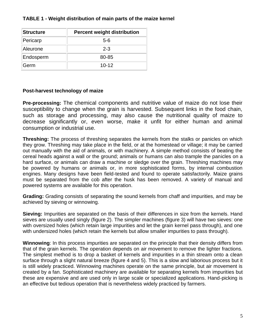| <b>Structure</b> | <b>Percent weight distribution</b> |
|------------------|------------------------------------|
| Pericarp         | $5-6$                              |
| Aleurone         | $2 - 3$                            |
| Endosperm        | 80-85                              |
| Germ             | $10 - 12$                          |

# **TABLE 1 - Weight distribution of main parts of the maize kernel**

# **Post-harvest technology of maize**

**Pre-processing:** The chemical components and nutritive value of maize do not lose their susceptibility to change when the grain is harvested. Subsequent links in the food chain, such as storage and processing, may also cause the nutritional quality of maize to decrease significantly or, even worse, make it unfit for either human and animal consumption or industrial use.

**Threshing:** The process of threshing separates the kernels from the stalks or panicles on which they grow. Threshing may take place in the field, or at the homestead or village; it may be carried out manually with the aid of animals, or with machinery. A simple method consists of beating the cereal heads against a wall or the ground; animals or humans can also trample the panicles on a hard surface, or animals can draw a machine or sledge over the grain. Threshing machines may be powered by humans or animals or, in more sophisticated forms, by internal combustion engines. Many designs have been field-tested and found to operate satisfactorily. Maize grains must be separated from the cob after the husk has been removed. A variety of manual and powered systems are available for this operation.

**Grading:** Grading consists of separating the sound kernels from chaff and impurities, and may be achieved by sieving or winnowing.

**Sieving:** Impurities are separated on the basis of their differences in size from the kernels. Hand sieves are usually used singly (figure 2). The simpler machines (figure 3) will have two sieves: one with oversized holes (which retain large impurities and let the grain kernel pass through), and one with undersized holes (which retain the kernels but allow smaller impurities to pass through).

**Winnowing**: In this process impurities are separated on the principle that their density differs from that of the grain kernels. The operation depends on air movement to remove the lighter fractions. The simplest method is to drop a basket of kernels and impurities in a thin stream onto a clean surface through a slight natural breeze (figure 4 and 5). This is a slow and laborious process but it is still widely practiced. Winnowing machines operate on the same principle, but air movement is created by a fan. Sophisticated machinery are available for separating kernels from impurities but these are expensive and are used only in large scale or specialized applications. Hand-picking is an effective but tedious operation that is nevertheless widely practiced by farmers.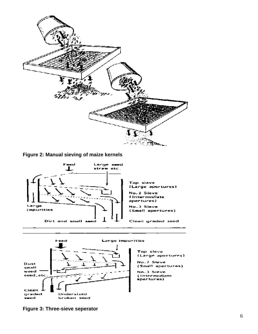

**Figure 2: Manual sieving of maize kernels**





**Figure 3: Three-sieve seperator**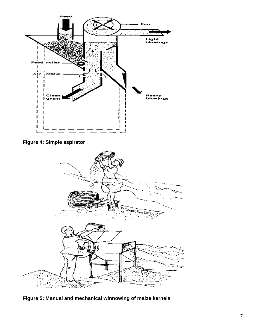

# **Figure 4: Simple aspirator**



**Figure 5: Manual and mechanical winnowing of maize kernels**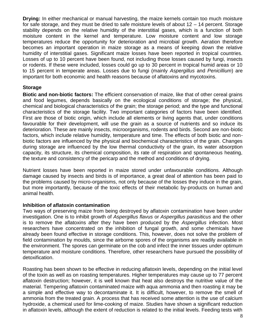**Drying:** In either mechanical or manual harvesting, the maize kernels contain too much moisture for safe storage, and they must be dried to safe moisture levels of about 12 – 14 percent. Storage stability depends on the relative humidity of the interstitial gases, which is a function of both moisture content in the kernel and temperature. Low moisture content and low storage temperatures reduce the opportunity for deterioration and microbial growth. Aeration therefore becomes an important operation in maize storage as a means of keeping down the relative humidity of interstitial gases. Significant maize losses have been reported in tropical countries. Losses of up to 10 percent have been found, not including those losses caused by fungi, insects or rodents. If these were included, losses could go up to 30 percent in tropical humid areas or 10 to 15 percent in temperate areas. Losses due to fungi (mainly *Aspergillus* and *Penicillium*) are important for both economic and health reasons because of aflatoxins and mycotoxins.

# **Storage**

**Biotic and non-biotic factors:** The efficient conservation of maize, like that of other cereal grains and food legumes, depends basically on the ecological conditions of storage; the physical, chemical and biological characteristics of the grain; the storage period; and the type and functional characteristics of the storage facility. Two important categories of factors have been identified. First are those of biotic origin, which include all elements or living agents that, under conditions favourable for their development, will use the grain as a source of nutrients and so induce its deterioration. These are mainly insects, microorganisms, rodents and birds. Second are non-biotic factors, which include relative humidity, temperature and time. The effects of both biotic and nonbiotic factors are influenced by the physical and biochemical characteristics of the grain. Changes during storage are influenced by the low thermal conductivity of the grain, its water absorption capacity, its structure, its chemical composition, its rate of respiration and spontaneous heating, the texture and consistency of the pericarp and the method and conditions of drying.

Nutrient losses have been reported in maize stored under unfavourable conditions. Although damage caused by insects and birds is of importance, a great deal of attention has been paid to the problems caused by micro-organisms, not only because of the losses they induce in the grain, but more importantly, because of the toxic effects of their metabolic by-products on human and animal health.

## **Inhibition of aflatoxin contamination**

Two ways of preserving maize from being destroyed by aflatoxin contamination have been under investigation. One is to inhibit growth of *Aspergillus flavus* or *Aspergillus parasiticus* and the other is to remove the aflatoxins after they have been produced by the *Aspergillus* infection. Most researchers have concentrated on the inhibition of fungal growth, and some chemicals have already been found effective in storage conditions. This, however, does not solve the problem of field contamination by moulds, since the airborne spores of the organisms are readily available in the environment. The spores can germinate on the cob and infect the inner tissues under optimum temperature and moisture conditions. Therefore, other researchers have pursued the possibility of detoxification.

Roasting has been shown to be effective in reducing aflatoxin levels, depending on the initial level of the toxin as well as on roasting temperatures. Higher temperatures may cause up to 77 percent aflatoxin destruction; however, it is well known that heat also destroys the nutritive value of the material. Tempering aflatoxin contaminated maize with aqua ammonia and then roasting it may be a simple and effective way to decontaminate it. It is difficult, however, to remove the smell of ammonia from the treated grain. A process that has received some attention is the use of calcium hydroxide, a chemical used for lime-cooking of maize. Studies have shown a significant reduction in aflatoxin levels, although the extent of reduction is related to the initial levels. Feeding tests with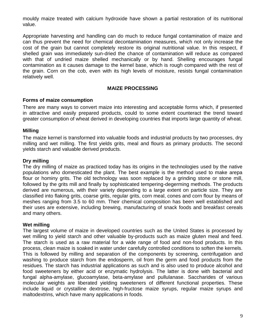mouldy maize treated with calcium hydroxide have shown a partial restoration of its nutritional value.

Appropriate harvesting and handling can do much to reduce fungal contamination of maize and can thus prevent the need for chemical decontamination measures, which not only increase the cost of the grain but cannot completely restore its original nutritional value. In this respect, if shelled grain was immediately sun-dried the chance of contamination will reduce as compared with that of undried maize shelled mechanically or by hand. Shelling encourages fungal contamination as it causes damage to the kernel base, which is rough compared with the rest of the grain. Corn on the cob, even with its high levels of moisture, resists fungal contamination relatively well.

## **MAIZE PROCESSING**

## **Forms of maize consumption**

There are many ways to convert maize into interesting and acceptable forms which, if presented in attractive and easily prepared products, could to some extent counteract the trend toward greater consumption of wheat derived in developing countries that imports large quantity of wheat.

## **Milling**

The maize kernel is transformed into valuable foods and industrial products by two processes, dry milling and wet milling. The first yields grits, meal and flours as primary products. The second yields starch and valuable derived products.

## **Dry milling**

The dry milling of maize as practiced today has its origins in the technologies used by the native populations who domesticated the plant. The best example is the method used to make arepa flour or hominy grits. The old technology was soon replaced by a grinding stone or stone mill, followed by the grits mill and finally by sophisticated tempering-degerming methods. The products derived are numerous, with their variety depending to a large extent on particle size. They are classified into flaking grits, coarse grits, regular grits, corn meal, cones and corn flour by means of meshes ranging from 3.5 to 60 mm. Their chemical composition has been well established and their uses are extensive, including brewing, manufacturing of snack foods and breakfast cereals and many others.

## **Wet milling**

The largest volume of maize in developed countries such as the United States is processed by wet milling to yield starch and other valuable by-products such as maize gluten meal and feed. The starch is used as a raw material for a wide range of food and non-food products. In this process, clean maize is soaked in water under carefully controlled conditions to soften the kernels. This is followed by milling and separation of the components by screening, centrifugation and washing to produce starch from the endosperm, oil from the germ and food products from the residues. The starch has industrial applications as such and is also used to produce alcohol and food sweeteners by either acid or enzymatic hydrolysis. The latter is done with bacterial and fungal alpha-amylase, glucoamylase, beta-amylase and pullulanase. Saccharides of various molecular weights are liberated yielding sweeteners of different functional properties. These include liquid or crystalline dextrose, high-fructose maize syrups, regular maize syrups and maltodextrins, which have many applications in foods.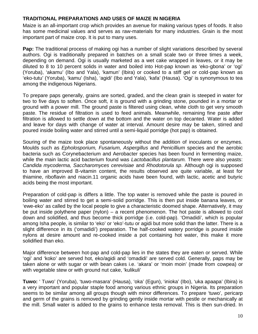# **TRADITIONAL PREPARATIONS AND USES OF MAIZE IN NIGERIA**

Maize is an all-important crop which provides an avenue for making various types of foods. It also has some medicinal values and serves as raw-materials for many industries. Grain is the most important part of maize crop. It is put to many uses.

**Pap:** The traditional process of making ogi has a number of slight variations described by several authors. Ogi is traditionally prepared in batches on a small scale two or three times a week, depending on demand. Ogi is usually marketed as a wet cake wrapped in leaves, or it may be diluted to 8 to 10 percent solids in water and boiled into Hot-pap known as 'eko-gbona' or 'ogi' (Yoruba), 'akamu' (Ibo and Yala), 'kamun' (Ibira) or cooked to a stiff gel or cold-pap known as 'eko-tutu' (Yoruba), 'kamu' (Isha), 'agidi' (Ibo and Yala), 'kafa' (Hausa). 'Ogi' is synonymous to tea among the indigenous Nigerians.

To prepare paps generally, grains are sorted, graded, and the clean grain is steeped in water for two to five days to soften. Once soft, it is ground with a grinding stone, pounded in a mortar or ground with a power mill. The ground paste is filtered using clean, white cloth to get very smooth paste. The residue of filtration is used to feed animals. Meanwhile, remaining fine paste after filtration is allowed to settle down at the bottom and the water on top decanted. Water is added and leave for days with change of water at interval. Amount desire may be taken, stirred and poured inside boiling water and stirred until a semi-liquid porridge (hot pap) is obtained.

Souring of the maize took place spontaneously without the addition of inoculants or enzymes. Moulds such as *Epholosporium, Fusarium, Aspergillus* and *Penicillium* species and the aerobic bacteria such as Corynebacterium and Aerobacter species has been found in fermenting maize, while the main lactic acid bacterium found was *Lactobacillus plantarum.* There were also yeasts: *Candida mycoderma, Saccharomyces cerevisiae* and *Rhodotorula sp*. Although ogi is supposed to have an improved B-vitamin content, the results observed are quite variable, at least for thiamine, riboflavin and niacin.11 organic acids have been found, with lactic, acetic and butyric acids being the most important.

Preparation of cold-pap is differs a little. The top water is removed while the paste is poured in boiling water and stirred to get a semi-solid porridge. This is then put inside banana leaves, or 'ewe-eko' as called by the local people to give a characteristic doomed shape. Alternatively, it may be put inside polythene paper (nylon) – a recent phenomenon. The hot paste is allowed to cool down and solidified, and thus become thick porridge (i.e. cold-pap). 'Omadidi', which is popular among Isha people, is similar to 'eko' or 'eko'-tutu or agidi but more solid than the latter. There is a slight difference in its ('omadidi') preparation. The half-cooked watery porridge is poured inside nylons at desire amount and re-cooked inside a pot containing hot water, this make it more solidified than eko.

Major difference between hot-pap and cold-pap lies in the states they are eaten or served. While 'ogi' and 'koko' are served hot, eko/agidi and 'omadidi' are served cold. Generally, paps may be taken alone or with sugar or with bean cakes i.e. 'akara' or 'moin moin' (made from cowpea) or with vegetable stew or with ground nut cake, 'kulikuli'

**Tuwo:** ' Tuwo' (Yoruba), 'tuwo-masara' (Hausa), 'oka' (Egun), 'inioka' (Ibo), 'uka apaapa' (Ibira) is a very important and popular staple food among various ethnic groups in Nigeria. Its preparation seems to be similar among all groups though with minor differences. To prepare 'tuwo', pericarp and germ of the grains is removed by grinding gently inside mortar with pestle or mechanically at the mill. Small water is added to the grains to enhance testa removal. This is then sun-dried. In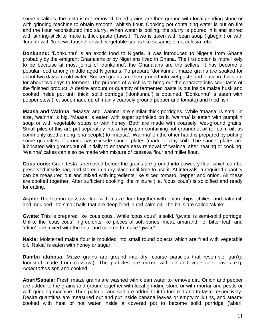some localities, the testa is not removed. Dried grains are then ground with local grinding stone or with grinding machine to obtain smooth, whitish flour. Cooking pot containing water is put on fire and the flour reconstituted into slurry. When water is boiling, the slurry is poured in it and stirred with stirring-stick to make a thick paste ('tuwo'). Tuwo is taken with bean soup ('gbegiri') or with 'luru' or with 'kubewa taushe' or with vegetable soups like sesame, okra, celosia, etc.

**Donkunnu:** 'Donkunnu' is an exotic food to Nigeria. It was introduced to Nigeria from Ghana probably by the emigrant Ghanaians or by Nigerians lived in Ghana. The first option is more likely to be because at most joints of 'donkunnu', the Ghanaians are the sellers. It has become a popular food among middle aged Nigerians. To prepare 'donkunnu', maize grains are soaked for about two days in cold water. Soaked grains are then ground into wet paste and leave in this state for about two days to ferment. The purpose of which is to bring out the characteristic sour taste of the finished product. A desire amount or quantity of fermented paste is put inside maize husk and cooked inside pot until thick, solid porridge ('donkunnu') is obtained. 'Donkunnu' is eaten with pepper stew (i.e. soup made up of mainly coarsely ground pepper and tomato) and fried fish.

**Maasa and Wainna:** 'Maasa' and 'wainna' are similar thick porridges. While 'maasa' is small in size, 'wainna' is big. 'Maasa' is eaten with sugar sprinkled on it, 'wainna' is eaten with pumpkin soup or with vegetable soups or with honey. Both are made with coarsely, wet-ground grains. Small piles of this are put separately into a frying-pan containing hot groundnut oil (or palm oil, as commonly used among Isha people) to 'maasa'. 'Wainna' on the other hand is prepared by putting some quantities of ground paste inside saucer plates (made of clay soil). The saucer plates are lubricated with groundnut oil initially to enhance easy removal of 'wainna' after heating or cooking. 'Wainna' cakes can also be made with mixture of cassava flour and millet flour.

**Cous cous:** Grain testa is removed before the grains are ground into powdery flour which can be preserved inside bag, and stored in a dry place until time to use it. At intervals, a required quantity can be measured out and mixed with ingredients like sliced tomato, pepper and onion. All these are cooked together. After sufficient cooking, the mixture (i.e. 'cous cous') is solidified and ready for eating.

**Akple:** The Ibo mix cassava flour with maize flour together with onion chips, chilies, and palm oil, and moulded into small balls that are deep fried in red palm oil. The balls are called 'akple'.

**Gwate:** This is prepared like 'cous cous'. While 'cous cous' is solid, 'gwate' is semi-solid porridge. Unlike the 'cous cous', ingredients like pieces of soft-bones, meat, amaranth or bitter leaf and 'efirin' are mixed with the flour and cooked to make 'gwate'.

**Nakia:** Moistened maize flour is moulded into small round objects which are fried with vegetable oil. 'Nakia' is eaten with honey or sugar.

**Dambu alubosa**: Maize grains are ground into dry, coarse particles that resemble 'gari'(a foodstuff made from cassava). The particles are mixed with oil and vegetable leaves e.g. *Amaranthus spp* and cooked.

**Abari/Sapala:** Fresh maize grains are washed with clean water to remove dirt. Onion and pepper are added to the grains and ground together with local grinding stone or with mortar and pestle or with grinding machine. Then palm oil and salt are added to it to turn red and to taste respectively. Desire quantities are measured out and put inside banana leaves or empty milk tins, and steamcooked with heat of hot water inside a covered pot to become solid porridge ('abari'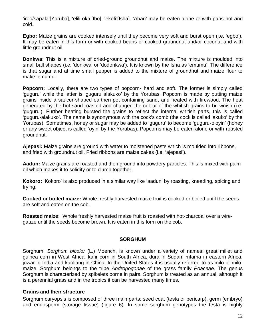'iroo/sapala'[Yoruba], 'elili-oka'[Ibo], 'ekefi'[Isha]. 'Abari' may be eaten alone or with paps-hot and cold.

**Egbo:** Maize grains are cooked intensely until they become very soft and burst open (i.e. 'egbo'). It may be eaten in this form or with cooked beans or cooked groundnut and/or coconut and with little groundnut oil.

**Donkwa:** This is a mixture of dried-ground groundnut and maize. The mixture is moulded into small ball shapes (i.e. 'donkwa' or 'dodonkwa'). It is known by the Isha as 'emumu'. The difference is that sugar and at time small pepper is added to the mixture of groundnut and maize flour to make 'emumu'.

**Popcorn:** Locally, there are two types of popcorn- hard and soft. The former is simply called 'guguru' while the latter is 'guguru alakuko' by the Yorubas. Popcorn is made by putting maize grains inside a saucer-shaped earthen pot containing sand, and heated with firewood. The heat generated by the hot sand roasted and changed the colour of the whitish grains to brownish (i.e. 'guguru'). Further heating bursted the grains to reflect the internal whitish parts, this is called 'guguru-alakuko'. The name is synonymous with the cock's comb (the cock is called 'akuko' by the Yorubas). Sometimes, honey or sugar may be added to 'guguru' to become 'guguru-oloyin' (honey or any sweet object is called 'oyin' by the Yorubas). Popcorns may be eaten alone or with roasted groundnut.

**Ajepasi:** Maize grains are ground with water to moistened paste which is moulded into ribbons, and fried with groundnut oil. Fried ribbons are maize cakes (i.e. 'ajepasi').

**Aadun:** Maize grains are roasted and then ground into powdery particles. This is mixed with palm oil which makes it to solidify or to clump together.

**Kokoro:** 'Kokoro' is also produced in a similar way like 'aadun' by roasting, kneading, spicing and frying.

**Cooked or boiled maize:** Whole freshly harvested maize fruit is cooked or boiled until the seeds are soft and eaten on the cob.

**Roasted maize:** Whole freshly harvested maize fruit is roasted with hot-charcoal over a wiregauze until the seeds become brown. It is eaten in this form on the cob.

## **SORGHUM**

Sorghum, *Sorghum bicolor* (L.) Moench, is known under a variety of names: great millet and guinea corn in West Africa, kafir corn in South Africa, dura in Sudan, mtama in eastern Africa, jowar in India and kaoliang in China. In the United States it is usually referred to as milo or milomaize. Sorghum belongs to the tribe *Andropogonae* of the grass family *Poaceae*. The genus Sorghum is characterized by spikelets borne in pairs. Sorghum is treated as an annual, although it is a perennial grass and in the tropics it can be harvested many times.

## **Grains and their structure**

Sorghum caryopsis is composed of three main parts: seed coat (testa or pericarp), germ (embryo) and endosperm (storage tissue) (figure 6). In some sorghum genotypes the testa is highly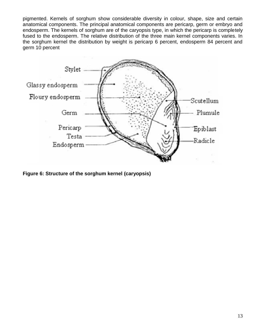pigmented. Kernels of sorghum show considerable diversity in colour, shape, size and certain anatomical components. The principal anatomical components are pericarp, germ or embryo and endosperm. The kernels of sorghum are of the caryopsis type, in which the pericarp is completely fused to the endosperm. The relative distribution of the three main kernel components varies. In the sorghum kernel the distribution by weight is pericarp 6 percent, endosperm 84 percent and germ 10 percent



**Figure 6: Structure of the sorghum kernel (caryopsis)**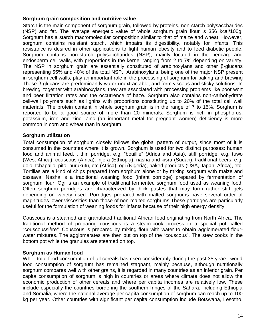# **Sorghum grain composition and nutritive value**

Starch is the main component of sorghum grain, followed by proteins, non-starch polysaccharides (NSP) and fat. The average energetic value of whole sorghum grain flour is 356 kcal/100g. Sorghum has a starch macromolecular composition similar to that of maize and wheat. However, sorghum contains resistant starch, which impairs its digestibility, notably for infants. This resistance is desired in other applications to fight human obesity and to feed diabetic people. Sorghum contains non-starch polysaccharides (NSP), mainly located in the pericarp and endosperm cell walls, with proportions in the kernel ranging from 2 to 7% depending on variety. The NSP in sorghum grain are essentially constituted of arabinoxylans and other -glucans representing 55% and 40% of the total NSP. Arabinoxylans, being one of the major NSP present in sorghum cell walls, play an important role in the processing of sorghum for baking and brewing These -glucans are predominantly water-unextractable, and form viscous and sticky solutions. In brewing, together with arabinoxylans, they are associated with processing problems like poor wort and beer filtration rates and the occurrence of haze. Sorghum also contains non-carbohydrate cell-wall polymers such as lignins with proportions constituting up to 20% of the total cell wall materials. The protein content in whole sorghum grain is in the range of 7 to 15%. Sorghum is reported to be a good source of more than 20 minerals. Sorghum is rich in phosphorus, potassium, iron and zinc. Zinc (an important metal for pregnant women) deficiency is more common in corn and wheat than in sorghum.

## **Sorghum utilization**

Total consumption of sorghum closely follows the global pattern of output, since most of it is consumed in the countries where it is grown. Sorghum is used for two distinct purposes: human food and animal feed. , thin porridge, e.g. "bouillie" (Africa and Asia), stiff porridge, e.g. tuwo (West Africa), couscous (Africa), injera (Ethiopia), nasha and kisra (Sudan), traditional beers, e.g. dolo, tchapallo, pito, burukutu, etc (Africa), ogi (Nigeria), baked products (USA, Japan, Africa), etc. Tortillas are a kind of chips prepared from sorghum alone or by mixing sorghum with maize and cassava. Nasha is a traditional weaning food (infant porridge) prepared by fermentation of sorghum flour. Ogi is an example of traditional fermented sorghum food used as weaning food. Often sorghum porridges are characterized by thick pastes that may form rather stiff gels depending on variety used. Porridges prepared with malted sorghums have several order of magnitudes lower viscosities than those of non-malted sorghums These porridges are particularly useful for the formulation of weaning foods for infants because of their high energy density

Couscous is a steamed and granulated traditional African food originating from North Africa. The traditional method of preparing couscous is a steam-cook process in a special pot called "couscoussière*"*. Couscous is prepared by mixing flour with water to obtain agglomerated flourwater mixtures. The agglomerates are then put on top of the "couscous". The stew cooks in the bottom pot while the granules are steamed on top.

## **Sorghum as Human food**

While total food consumption of all cereals has risen considerably during the past 35 years, world food consumption of sorghum has remained stagnant, mainly because, although nutritionally sorghum compares well with other grains, it is regarded in many countries as an inferior grain. Per capita consumption of sorghum is high in countries or areas where climate does not allow the economic production of other cereals and where per capita incomes are relatively low. These include especially the countries bordering the southern fringes of the Sahara, including Ethiopia and Somalia, where the national average per capita consumption of sorghum can reach up to 100 kg per year. Other countries with significant per capita consumption include Botswana, Lesotho,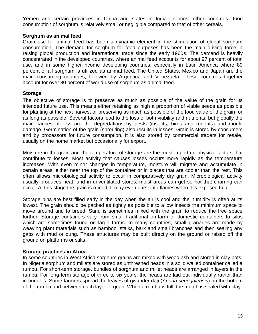Yemen and certain provinces in China and states in India. In most other countries, food consumption of sorghum is relatively small or negligible compared to that of other cereals.

## **Sorghum as animal feed**

Grain use for animal feed has been a dynamic element in the stimulation of global sorghum consumption. The demand for sorghum for feed purposes has been the main driving force in raising global production and international trade since the early 1960s. The demand is heavily concentrated in the developed countries, where animal feed accounts for about 97 percent of total use, and in some higher-income developing countries, especially in Latin America where 80 percent of all sorghum is utilized as animal feed. The United States, Mexico and Japan are the main consuming countries, followed by Argentina and Venezuela. These countries together account for over 80 percent of world use of sorghum as animal feed.

# **Storage**

The objective of storage is to preserve as much as possible of the value of the grain for its intended future use. This means either retaining as high a proportion of viable seeds as possible for planting at the next harvest or preserving as much as possible of the food value of the grain for as long as possible. Several factors lead to the loss of both viability and nutrients, but globally the main causes of loss are the depredations by pests (insects, birds and rodents) and mould damage. Germination of the grain (sprouting) also results in losses. Grain is stored by consumers and by processors for future consumption. It is also stored by commercial traders for resale, usually on the home market but occasionally for export.

Moisture in the grain and the temperature of storage are the most important physical factors that contribute to losses. Most activity that causes losses occurs more rapidly as the temperature increases. With even minor changes in temperature, moisture will migrate and accumulate in certain areas, either near the top of the container or in places that are cooler than the rest. This often allows microbiological activity to occur in comparatively dry grain. Microbiological activity usually produces heat, and in unventilated stores, moist areas can get so hot that charring can occur. At this stage the grain is ruined. It may even burst into flames when it is exposed to air.

Storage bins are best filled early in the day when the air is cool and the humidity is often at its lowest. The grain should be packed as tightly as possible to allow insects the minimum space to move around and to breed. Sand is sometimes mixed with the grain to reduce the free space further. Storage containers vary from small traditional on-farm or domestic containers to silos which are sometimes found on large farms. In many countries, small granaries are made by weaving plant materials such as bamboo, stalks, bark and small branches and then sealing any gaps with mud or dung. These structures may be built directly on the ground or raised off the ground on platforms or stilts.

## **Storage practices in Africa**

In some countries in West Africa sorghum grains are mixed with wood ash and stored in clay pots. In Nigeria sorghum and millets are stored as unthreshed heads in a solid walled container called a rumbu. For short-term storage, bundles of sorghum and millet heads are arranged in layers in the rumbu. For long-term storage of three to six years, the heads are laid out individually rather than in bundles. Some farmers spread the leaves of gwander daji (*Anona senegalensis*) on the bottom of the rumbu and between each layer of grain. When a rumbu is full, the mouth is sealed with clay.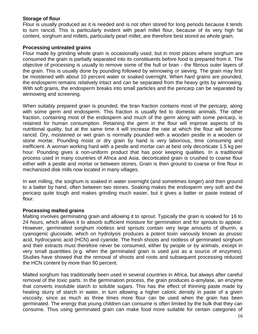## **Storage of flour**

Flour is usually produced as it is needed and is not often stored for long periods because it tends to turn rancid. This is particularly evident with pearl millet flour, because of its very high fat content, sorghum and millets, particularly pearl millet, are therefore best stored as whole grain.

## **Processing untreated grains**

Flour made by grinding whole grain is occasionally used, but in most places where sorghum are consumed the grain is partially separated into its constituents before food is prepared from it. The objective of processing is usually to remove some of the hull or bran - the fibrous outer layers of the grain. This is usually done by pounding followed by winnowing or sieving. The grain may first be moistened with about 10 percent water or soaked overnight. When hard grains are pounded, the endosperm remains relatively intact and can be separated from the heavy grits by winnowing. With soft grains, the endosperm breaks into small particles and the pericarp can be separated by winnowing and screening.

When suitably prepared grain is pounded, the bran fraction contains most of the pericarp, along with some germ and endosperm. This fraction is usually fed to domestic animals. The other fraction, containing most of the endosperm and much of the germ along with some pericarp, is retained for human consumption. Retaining the germ in the flour will improve aspects of its nutritional quality, but at the same time it will increase the rate at which the flour will become rancid. Dry, moistened or wet grain is normally pounded with a wooden pestle in a wooden or stone mortar. Pounding moist or dry grain by hand is very laborious, time consuming and inefficient. A woman working hard with a pestle and mortar can at best only decorticate 1.5 kg per hour. Pounding gives a non-uniform product that has poor keeping qualities. In a traditional process used in many countries of Africa and Asia, decorticated grain is crushed to coarse flour either with a pestle and mortar or between stones. Grain is then ground to coarse or fine flour in mechanized disk mills now located in many villages.

In wet milling, the sorghum is soaked in water overnight (and sometimes longer) and then ground to a batter by hand, often between two stones. Soaking makes the endosperm very soft and the pericarp quite tough and makes grinding much easier, but it gives a batter or paste instead of flour.

## **Processing malted grains**

Malting involves germinating grain and allowing it to sprout. Typically the grain is soaked for 16 to 24 hours, which allows it to absorb sufficient moisture for germination and for sprouts to appear. However, germinated sorghum rootless and sprouts contain very large amounts of dhurrin, a cyanogenic glucoside, which on hydrolysis produces a potent toxin variously known as prussic acid, hydrocyanic acid (HCN) and cyanide. The fresh shoots and rootless of germinated sorghum and their extracts must therefore never be consumed, either by people or by animals, except in very small quantities (e.g. when the germinated grain is used just as a source of enzymes). Studies have showed that the removal of shoots and roots and subsequent processing reduced the HCN content by more than 90 percent.

Malted sorghum has traditionally been used in several countries in Africa, but always after careful removal of the toxic parts. In the germination process, the grain produces -amylase, an enzyme that converts insoluble starch to soluble sugars. This has the effect of thinning paste made by heating slurry of starch in water, in turn allowing a higher caloric density in paste of a given viscosity, since as much as three times more flour can be used when the grain has been germinated. The energy that young children can consume is often limited by the bulk that they can consume. Thus using germinated grain can make food more suitable for certain categories of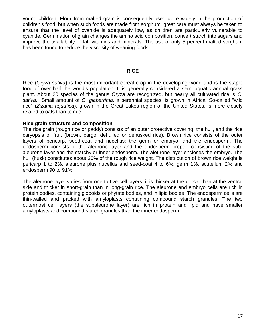young children. Flour from malted grain is consequently used quite widely in the production of children's food, but when such foods are made from sorghum, great care must always be taken to ensure that the level of cyanide is adequately low, as children are particularly vulnerable to cyanide. Germination of grain changes the amino acid composition, convert starch into sugars and improve the availability of fat, vitamins and minerals. The use of only 5 percent malted sorghum has been found to reduce the viscosity of weaning foods.

## **RICE**

Rice (*Oryza sativa*) is the most important cereal crop in the developing world and is the staple food of over half the world's population. It is generally considered a semi-aquatic annual grass plant. About 20 species of the genus *Oryza* are recognized, but nearly all cultivated rice is *O. sativa.* Small amount of *O. glaberrima*, a perennial species, is grown in Africa. So-called "wild rice" (*Zizania aquatica*), grown in the Great Lakes region of the United States, is more closely related to oats than to rice.

## **Rice grain structure and composition**

The rice grain (rough rice or paddy) consists of an outer protective covering, the hull, and the rice caryopsis or fruit (brown, cargo, dehulled or dehusked rice). Brown rice consists of the outer layers of pericarp, seed-coat and nucellus; the germ or embryo; and the endosperm. The endosperm consists of the aleurone layer and the endosperm proper, consisting of the subaleurone layer and the starchy or inner endosperm. The aleurone layer encloses the embryo. The hull (husk) constitutes about 20% of the rough rice weight. The distribution of brown rice weight is pericarp 1 to 2%, aleurone plus nucellus and seed-coat 4 to 6%, germ 1%, scutellum 2% and endosperm 90 to 91%.

The aleurone layer varies from one to five cell layers; it is thicker at the dorsal than at the ventral side and thicker in short-grain than in long-grain rice. The aleurone and embryo cells are rich in protein bodies, containing globoids or phytate bodies, and in lipid bodies. The endosperm cells are thin-walled and packed with amyloplasts containing compound starch granules. The two outermost cell layers (the subaleurone layer) are rich in protein and lipid and have smaller amyloplasts and compound starch granules than the inner endosperm.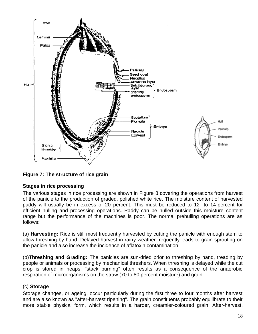

# **Figure 7: The structure of rice grain**

## **Stages in rice processing**

The various stages in rice processing are shown in Figure 8 covering the operations from harvest of the panicle to the production of graded, polished white rice. The moisture content of harvested paddy will usually be in excess of 20 percent. This must be reduced to 12- to 14-percent for efficient hulling and processing operations. Paddy can be hulled outside this moisture content range but the performance of the machines is poor. The normal prehulling operations are as follows:

(a) **Harvesting:** Rice is still most frequently harvested by cutting the panicle with enough stem to allow threshing by hand. Delayed harvest in rainy weather frequently leads to grain sprouting on the panicle and also increase the incidence of aflatoxin contamination.

(b)**Threshing and Grading:** The panicles are sun-dried prior to threshing by hand, treading by people or animals or processing by mechanical threshers. When threshing is delayed while the cut crop is stored in heaps, "stack burning" often results as a consequence of the anaerobic respiration of microorganisms on the straw (70 to 80 percent moisture) and grain.

## (c) **Storage**

Storage changes, or ageing, occur particularly during the first three to four months after harvest and are also known as "after-harvest ripening". The grain constituents probably equilibrate to their more stable physical form, which results in a harder, creamier-coloured grain. After-harvest,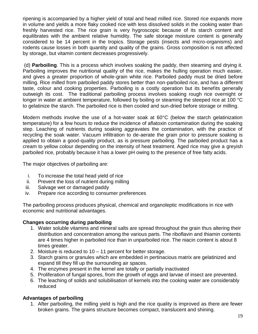ripening is accompanied by a higher yield of total and head milled rice. Stored rice expands more in volume and yields a more flaky cooked rice with less dissolved solids in the cooking water than freshly harvested rice. The rice grain is very hygroscopic because of its starch content and equilibrates with the ambient relative humidity. The safe storage moisture content is generally considered to be 14 percent in the tropics. Storage pests (insects and micro-organisms) and rodents cause losses in both quantity and quality of the grains. Gross composition is not affected by storage, but vitamin content decreases progressively.

(d) **Parboiling***.* This is a process which involves soaking the paddy, then steaming and drying it. Parboiling improves the nutritional quality of the rice, makes the hulling operation much easier, and gives a greater proportion of whole-grain white rice. Parboiled paddy must be dried before milling. Rice milled from parboiled paddy stores better than non-parboiled rice, and has a different taste, colour and cooking properties. Parboiling is a costly operation but its benefits generally outweigh its cost. The traditional parboiling process involves soaking rough rice overnight or longer in water at ambient temperature, followed by boiling or steaming the steeped rice at 100 °C to gelatinize the starch. The parboiled rice is then cooled and sun-dried before storage or milling.

Modern methods involve the use of a hot-water soak at 60°C (below the starch gelatinization temperature) for a few hours to reduce the incidence of aflatoxin contamination during the soaking step. Leaching of nutrients during soaking aggravates the contamination, with the practice of recycling the soak water. Vacuum infiltration to de-aerate the grain prior to pressure soaking is applied to obtain a good-quality product, as is pressure parboiling. The parboiled product has a cream to yellow colour depending on the intensity of heat treatment. Aged rice may give a greyish parboiled rice, probably because it has a lower pH owing to the presence of free fatty acids.

The major objectives of parboiling are:

- i. To increase the total head yield of rice
- ii. Prevent the loss of nutrient during milling
- iii. Salvage wet or damaged paddy
- iv. Prepare rice according to consumer preferences

The parboiling process produces physical, chemical and organoleptic modifications in rice with economic and nutritional advantages.

# **Changes occurring during parboiling**

- 1. Water soluble vitamins and mineral salts are spread throughout the grain thus altering their distribution and concentration among the various parts. The riboflavin and thiamin contents are 4 times higher in parboiled rice than in unparboiled rice. The niacin content is about 8 times greater.
- 2. Moisture is reduced to 10 11 percent for better storage.
- 3. Starch grains or granules which are embedded in pertinacious matrix are gelatinized and expand till they fill up the surrounding air spaces.
- 4. The enzymes present in the kernel are totally or partially inactivated
- 5. Proliferation of fungal spores, from the growth of eggs and larvae of insect are prevented.
- 6. The leaching of solids and solubilisation of kernels into the cooking water are considerably reduced

# **Advantages of parboiling**

1. After parboiling, the milling yield is high and the rice quality is improved as there are fewer broken grains. The grains structure becomes compact, translucent and shining.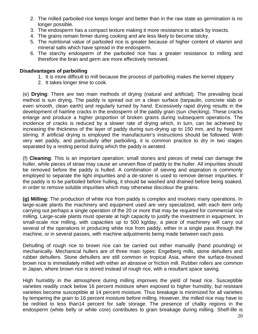- 2. The milled parboiled rice keeps longer and better than in the raw state as germination is no longer possible.
- 3. The endosperm has a compact texture making it more resistance to attack by insects.
- 4. The grains remain firmer during cooking and are less likely to become sticky.
- 5. The nutritional value of parboiled rice is greater because of higher content of vitamin and mineral salts which have spread in the endosperm.
- 6. The starchy endosperm of the parboiled rice has a greater resistance to milling and therefore the bran and germ are more effectively removed.

## **Disadvantages of parboiling**

- 1. It is more difficult to mill because the process of parboiling makes the kernel slippery
- 2. It takes longer time to cook.

(e) **Drying**: There are two main methods of drying (natural and artificial)*.* The prevailing local method is sun drying. The paddy is spread out on a clean surface (tarpaulin, concrete slab or even smooth, clean earth) and regularly turned by hand. Excessively rapid drying results in the development of hairline cracks in the endosperm of the paddy grain (sun checking). These cracks enlarge and produce a higher proportion of broken grains during subsequent operations. The incidence of cracks is reduced by a slower rate of drying which, in turn, can be achieved by increasing the thickness of the layer of paddy during sun-drying up to 150 mm, and by frequent stirring. If artificial drying is employed the manufacturer's instructions should be followed. With very wet paddy, and particularly after parboiling, it is common practice to dry in two stages separated by a resting period during which the paddy is aerated.

(f) **Cleaning**: This is an important operation; small stones and pieces of metal can damage the huller, while pieces of straw may cause an uneven flow of paddy to the huller. All impurities should be removed before the paddy is hulled. A combination of sieving and aspiration is commonly employed to separate the light impurities and a de-stoner is used to remove denser impurities. If the paddy is to be parboiled before hulling, it should be washed and drained before being soaked, in order to remove soluble impurities which may otherwise discolour the grains.

**(g) Milling:** The production of white rice from paddy is complex and involves many operations. In large-scale plants the machinery and equipment used are very specialized, with each item only carrying out perhaps a single operation of the 20 or more that may be required for commercial rice milling. Large-scale plants must operate at high capacity to justify the investment in equipment. In small-scale rice milling, with capacities up to 500 kg/day, a piece of machinery will carry out several of the operations in producing white rice from paddy, either in a single pass through the machine, or in several passes, with machine adjustments being made between each pass.

Dehulling of rough rice to brown rice can be carried out either manually (hand pounding) or mechanically. Mechanical hullers are of three main types: Engelberg mills, stone dehullers and rubber dehullers. Stone dehullers are still common in tropical Asia, where the surface-bruised brown rice is immediately milled with either an abrasive or friction mill. Rubber rollers are common in Japan, where brown rice is stored instead of rough rice, with a resultant space saving.

High humidity in the atmosphere during milling improves the yield of head rice. Susceptible varieties readily crack below 16 percent moisture when exposed to higher humidity, but resistant varieties become susceptible at 14 percent moisture. Thus breakage is minimized for all varieties by tempering the grain to 16 percent moisture before milling. However, the milled rice may have to be redried to less than14 percent for safe storage. The presence of chalky regions in the endosperm (white belly or white core) contributes to grain breakage during milling. Shelf-life is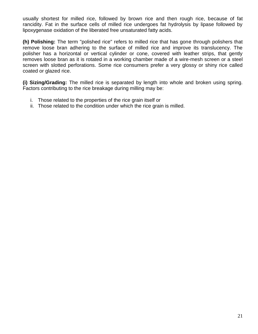usually shortest for milled rice, followed by brown rice and then rough rice, because of fat rancidity. Fat in the surface cells of milled rice undergoes fat hydrolysis by lipase followed by lipoxygenase oxidation of the liberated free unsaturated fatty acids.

**(h) Polishing:** The term "polished rice" refers to milled rice that has gone through polishers that remove loose bran adhering to the surface of milled rice and improve its translucency. The polisher has a horizontal or vertical cylinder or cone, covered with leather strips, that gently removes loose bran as it is rotated in a working chamber made of a wire-mesh screen or a steel screen with slotted perforations. Some rice consumers prefer a very glossy or shiny rice called coated or glazed rice.

**(i) Sizing/Grading:** The milled rice is separated by length into whole and broken using spring. Factors contributing to the rice breakage during milling may be:

- i. Those related to the properties of the rice grain itself or
- ii. Those related to the condition under which the rice grain is milled.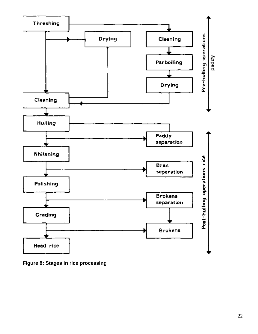

**Figure 8: Stages in rice processing**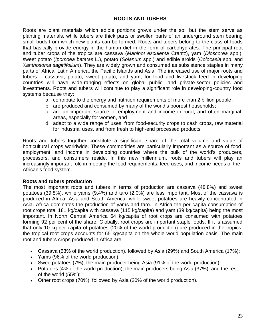Roots are plant materials which edible portions grows under the soil but the stem serve as planting materials, while tubers are thick parts or swollen parts of an underground stem bearing small buds from which new plants can be formed. Roots and tubers belong to the class of foods that basically provide energy in the human diet in the form of carbohydrates. The principal root and tuber crops of the tropics are cassava (*Manihot esculenta* Crantz), yam (*Dioscorea* spp.), sweet potato (*Ipomoea batatas* L.), potato (*Solanum* spp.) and edible aroids (*Colocasia* spp. and *Xanthosoma sagittifolium*). They are widely grown and consumed as subsistence staples in many parts of Africa, Latin America, the Pacific Islands and Asia. The increased use of major roots and tubers – cassava, potato, sweet potato, and yam, for food and livestock feed in developing countries will have wide-ranging effects on global public- and private-sector policies and investments. Roots and tubers will continue to play a significant role in developing-country food systems because they:

- a. contribute to the energy and nutrition requirements of more than 2 billion people;
- b. are produced and consumed by many of the world's poorest households;
- c. are an important source of employment and income in rural, and often marginal, areas, especially for women, and
- d. adapt to a wide range of uses, from food-security crops to cash crops, raw material for industrial uses, and from fresh to high-end processed products.

Roots and tubers together constitute a significant share of the total volume and value of horticultural crops worldwide. These commodities are particularly important as a source of food, employment, and income in developing countries where the bulk of the world's producers, processors, and consumers reside. In this new millennium, roots and tubers will play an increasingly important role in meeting the food requirements, feed uses, and income needs of the African's food system.

## **Roots and tubers production**

The most important roots and tubers in terms of production are cassava (48.8%) and sweet potatoes (39.8%), while yams (9.4%) and taro (2.0%) are less important. Most of the cassava is produced in Africa, Asia and South America, while sweet potatoes are heavily concentrated in Asia. Africa dominates the production of yams and taro. In Africa the per capita consumption of root crops total 181 kg/capita with cassava (115 kg/capita) and yam (39 kg/capita) being the most important. In North Central America 64 kg/capita of root crops are consumed with potatoes forming 92 per cent of the share. Globally, root crops are important staple foods. If it is assumed that only 10 kg per capita of potatoes (20% of the world production) are produced in the tropics, the tropical root crops accounts for 65 kg/capita on the whole world population basis. The main root and tubers crops produced in Africa are:

- Cassava (53% of the world production), followed by Asia (29%) and South America (17%);
- Yams (96% of the world production);
- Sweetpotatoes (7%), the main producer being Asia (91% of the world production);
- Potatoes (4% of the world production), the main producers being Asia (37%), and the rest of the world (55%);
- Other root crops (70%), followed by Asia (20% of the world production).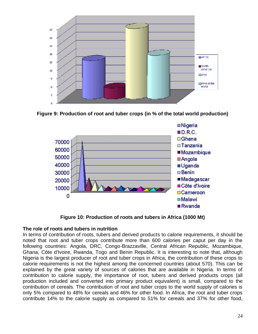

**Figure 9: Production of root and tuber crops (in % of the total world production)**



**Figure 10: Production of roots and tubers in Africa (1000 Mt)**

## **The role of roots and tubers in nutrition**

In terms of contribution of roots, tubers and derived products to calorie requirements, it should be noted that root and tuber crops contribute more than 600 calories per caput per day in the following countries: Angola, DRC, Congo-Brazzaville, Central African Republic, Mozambique, Ghana, Côte d'Ivoire, Rwanda, Togo and Benin Republic. It is interesting to note that, although Nigeria is the largest producer of root and tuber crops in Africa, the contribution of these crops to calorie requirements is not the highest among the concerned countries (about 570). This can be explained by the great variety of sources of calories that are available in Nigeria. In terms of contribution to calorie supply, the importance of root, tubers and derived products crops (all production included and converted into primary product equivalent) is small, compared to the contribution of cereals. The contribution of root and tuber crops to the world supply of calories is only 5% compared to 48% for cereals and 46% for other food. In Africa, the root and tuber crops contribute 14% to the calorie supply as compared to 51% for cereals and 37% for other food,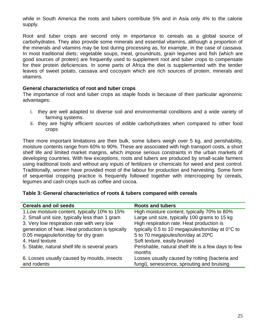while in South America the roots and tubers contribute 5% and in Asia only 4% to the calorie supply.

Root and tuber crops are second only in importance to cereals as a global source of carbohydrates. They also provide some minerals and essential vitamins, although a proportion of the minerals and vitamins may be lost during processing as, for example, in the case of cassava. In most traditional diets; vegetable soups, meat, groundnuts, grain legumes and fish (which are good sources of protein) are frequently used to supplement root and tuber crops to compensate for their protein deficiencies. In some parts of Africa the diet is supplemented with the tender leaves of sweet potato, cassava and cocoyam which are rich sources of protein, minerals and vitamins.

## **General characteristics of root and tuber crops**

The importance of root and tuber crops as staple foods is because of their particular agronomic advantages:

- i. they are well adapted to diverse soil and environmental conditions and a wide variety of farming systems.
- ii. they are highly efficient sources of edible carbohydrates when compared to other food crops

Their more important limitations are their bulk, some tubers weigh over 5 kg, and perishability, moisture contents range from 60% to 90%. These are associated with high transport costs, a short shelf life and limited market margins, which impose serious constraints in the urban markets of developing countries. With few exceptions, roots and tubers are produced by small-scale farmers using traditional tools and without any inputs of fertilizers or chemicals for weed and pest control. Traditionally, women have provided most of the labour for production and harvesting. Some form of sequential cropping practice is frequently followed together with intercropping by cereals, legumes and cash crops such as coffee and cocoa.

## **Table 3: General characteristics of roots & tubers compared with cereals**

| <b>Cereals and oil seeds</b>                     | <b>Roots and tubers</b>                             |
|--------------------------------------------------|-----------------------------------------------------|
| 1. Low moisture content, typically 10% to 15%    | High moisture content, typically 70% to 80%         |
| 2. Small unit size, typically less than 1 gram   | Large unit size, typically 100 grams to 15 kg       |
| 3. Very low respiration rate with very low       | High respiration rate. Heat production is           |
| generation of heat. Heat production is typically | typically 0.5 to 10 megajoules/ton/day at 0°C to    |
| 0.05 megajoule/ton/day for dry grain             | 5 to 70 megajoules/ton/day at 20°C                  |
| 4. Hard texture                                  | Soft texture, easily bruised                        |
| 5. Stable, natural shelf life is several years   | Perishable, natural shelf life is a few days to few |
|                                                  | months                                              |
| 6. Losses usually caused by moulds, insects      | Losses usually caused by rotting (bacteria and      |
| and rodents                                      | fungi), senescence, sprouting and bruising          |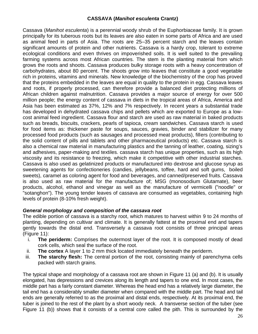# **CASSAVA (***Manihot esculenta* **Crantz)**

Cassava (*Manihot esculenta*) is a perennial woody shrub of the Euphorbiaceae family. It is grown principally for its tuberous roots but its leaves are also eaten in some parts of Africa and are used as animal feed in parts of Asia. The roots are 25–35 percent starch and the leaves contain significant amounts of protein and other nutrients. Cassava is a hardy crop, tolerant to extreme ecological conditions and even thrives on impoverished soils. It is well suited to the prevailing farming systems across most African countries. The stem is the planting material from which grows the roots and shoots. Cassava produces bulky storage roots with a heavy concentration of carbohydrates, about 80 percent. The shoots grow into leaves that constitute a good vegetable rich in proteins, vitamins and minerals. New knowledge of the biochemistry of the crop has proved that the proteins embedded in the leaves are equal in quality to the protein in egg. Cassava leaves and roots, if properly processed, can therefore provide a balanced diet protecting millions of African children against malnutrition. Cassava provides a major source of energy for over 500 million people; the energy content of cassava in diets in the tropical areas of Africa, America and Asia has been estimated as 37%, 12% and 7% respectively. In recent years a substantial trade has developed in dehydrated cassava chips and pellets which are exported to Europe as a lowcost animal feed ingredient. Cassava flour and starch are used as raw material in baked products such as breads, biscuits, crackers, pearls of tapioca, cream sandwiches. Cassava starch is used for food items as: thickener paste for soups, sauces, gravies, binder and stabilizer for many processed food products (such as sausages and processed meat products), fillers (contributing to the solid content of pills and tablets and other pharmaceutical products) etc. Cassava starch is also a chemical raw material in manufacturing plastics and the tanning of leather, coating, sizing's and adhesives, paper-making and textiles. cassava starch has unique properties, such as its high viscosity and its resistance to freezing, which make it competitive with other industrial starches. Cassava is also used as gelatinized products or manufactured into dextrose and glucose syrup as sweetening agents for confectioneries (candies, jellybeans, toffee, hard and soft gums, boiled sweets), caramel as coloring agent for food and beverages, and canned/preserved fruits. Cassava is also used as raw material for the manufacture of; MSG (monosodium Glutamate), beer products, alcohol, ethanol and vinegar as well as the manufacture of vermicelli ("noodle" or "sotanghon"). The young tender leaves of cassava are consumed as vegetables, containing high levels of protein (8-10% fresh weight).

# *General morphology and composition of the cassava root*

The edible portion of cassava is a starchy root, which matures to harvest within 9 to 24 months of planting, depending on cultivar and climate. It is generally fattest at the proximal end and tapers gently towards the distal end. Transversely a cassava root consists of three principal areas (Figure 11):

- i. **The periderm:** Comprises the outermost layer of the root. It is composed mostly of dead cork cells, which seal the surface of the root.
- ii. **The cortex** A layer 1 to 2 mm thick located immediately beneath the periderm.
- iii. **The starchy flesh:** The central portion of the root, consisting mainly of parenchyma cells packed with starch grains.

The typical shape and morphology of a cassava root are shown in Figure 11 (a) and (b). It is usually elongated, has depressions and crevices along its length and tapers to one end. In most cases, the middle part has a fairly constant diameter. Whereas the head end has a relatively large diameter, the tail end has a considerably smaller diameter when compared with the middle part. The head and tail ends are generally referred to as the proximal and distal ends, respectively. At its proximal end, the tuber is joined to the rest of the plant by a short woody neck. A transverse section of the tuber (see Figure 11 (b)) shows that it consists of a central core called the pith. This is surrounded by the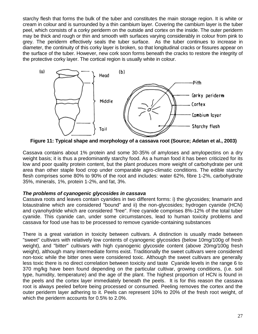starchy flesh that forms the bulk of the tuber and constitutes the main storage region. It is white or cream in colour and is surrounded by a thin cambium layer. Covering the cambium layer is the tuber peel, which consists of a corky periderm on the outside and cortex on the inside. The outer periderm may be thick and rough or thin and smooth with surfaces varying considerably in colour from pink to grey. The periderm effectively seals the tuber surface. As the tuber continues to increase in diameter, the continuity of this corky layer is broken, so that longitudinal cracks or fissures appear on the surface of the tuber. However, new cork soon forms beneath the cracks to restore the integrity of the protective corky layer. The cortical region is usually white in colour.



**Figure 11: Typical shape and morphology of a cassava root (Source; Adetan et al., 2003)**

Cassava contains about 1% protein and some 30-35% of amyloses and amylopectins on a dry weight basis; it is thus a predominantly starchy food. As a human food it has been criticized for its low and poor quality protein content, but the plant produces more weight of carbohydrate per unit area than other staple food crop under comparable agro-climatic conditions. The edible starchy flesh comprises some 80% to 90% of the root and includes: water 62%, fibre 1-2%, carbohydrate 35%, minerals, 1%, protein 1-2%, and fat, 3%.

# *The problems of cyanogenic glycosides in cassava*

Cassava roots and leaves contain cyanides in two different forms: i) the glycosides; linamarin and lotaustraline which are considered "bound" and ii) the non-glycosides; hydrogen cyanide (HCN) and cyanohydride which are considered "free". Free cyanide comprises 8%-12% of the total tuber cyanide. This cyanide can, under some circumstances, lead to human toxicity problems and cassava for food use has to be processed to remove cyanide-containing substances

There is a great variation in toxicity between cultivars. A distinction is usually made between "sweet" cultivars with relatively low contents of cyanogenic glycosides (below 10mg/100g of fresh weight), and "bitter" cultivars with high cyanogenic glycoside content (above 20mg/100g fresh weight), although many intermediate forms exist. Traditionally the sweet cultivars were considered non-toxic while the bitter ones were considered toxic. Although the sweet cultivars are generally less toxic there is no direct correlation between toxicity and taste Cyanide levels in the range 6 to 370 mg/kg have been found depending on the particular cultivar, growing conditions, (i.e. soil type, humidity, temperature) and the age of the plant. The highest proportion of HCN is found in the peels and the cortex layer immediately beneath the peels. It is for this reason the cassava root is always peeled before being processed or consumed. Peeling removes the cortex and the outer periderm layer adhering to it. Peels can represent 10% to 20% of the fresh root weight, of which the periderm accounts for 0.5% to 2.0%.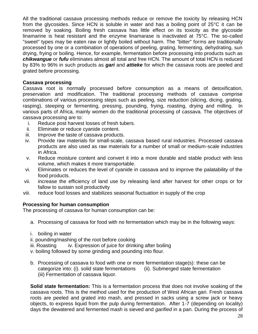All the traditional cassava processing methods reduce or remove the toxicity by releasing HCN from the glycosides. Since HCN is soluble in water and has a boiling point of 25°C it can be removed by soaking. Boiling fresh cassava has little effect on its toxicity as the glycoside linamarine is heat resistant and the enzyme linamarase is inactivated at 75°C. The so-called "sweet" types may be eaten raw or lightly boiled without harm. The "bitter" forms are traditionally processed by one or a combination of operations of peeling, grating, fermenting, dehydrating, sun drying, frying or boiling. Hence, for example, fermentation before processing into products such as *chikwangue* or *fufu* eliminates almost all total and free HCN. The amount of total HCN is reduced by 83% to 96% in such products as *gari* and *attieke* for which the cassava roots are peeled and grated before processing.

## **Cassava processing**

Cassava root is normally processed before consumption as a means of detoxification, preservation and modification. The traditional processing methods of cassava comprise combinations of various processing steps such as peeling, size reduction (slicing, dicing, grating, rasping), steeping or fermenting, pressing, pounding, frying, roasting, drying and milling. In various parts of Africa, mainly women do the traditional processing of cassava. The objectives of cassava processing are to:

- i. Reduce post harvest losses of fresh tubers.
- ii. Eliminate or reduce cyanide content.
- iii. Improve the taste of cassava products.
- iv. Provide raw materials for small-scale, cassava based rural industries. Processed cassava products are also used as raw materials for a number of small or medium-scale industries in Africa.
- v. Reduce moisture content and convert it into a more durable and stable product with less volume, which makes it more transportable.
- vi. Eliminates or reduces the level of cyanide in cassava and to improve the palatability of the food products.
- vii. increase the efficiency of land use by releasing land after harvest for other crops or for fallow to sustain soil productivity
- viii. reduce food losses and stabilizes seasonal fluctuation in supply of the crop

# **Processing for human consumption**

The processing of cassava for human consumption can be:

- a. Processing of cassava for food with no fermentation which may be in the following ways:
- i. boiling in water
- ii. pounding/mashing of the root before cooking
- iii. Roasting iv. Expression of juice for drinking after boiling
- v. boiling followed by some grinding and pounding into flour.
- b. Processing of cassava to food with one or more fermentation stage(s): these can be categorize into: (i). solid state fermentations (ii). Submerged state fermentation (iii) Fermentation of cassava liquor.

**Solid state fermentation:** This is a fermentation process that does not involve soaking of the cassava roots. This is the method used for the production of West African gari. Fresh cassava roots are peeled and grated into mash, and pressed in sacks using a screw jack or heavy objects, to express liquid from the pulp during fermentation. After 1-7 (depending on locality) days the dewatered and fermented mash is sieved and *garified* in a pan. During the process of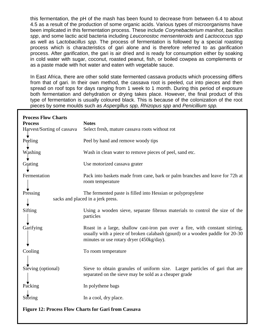this fermentation, the pH of the mash has been found to decrease from between 6.4 to about 4.5 as a result of the production of some organic acids. Various types of microorganisms have been implicated in this fermentation process. These include *Corynebacterium manihot*, *bacillus spp*, and some lactic acid bacteria including *Leuconostoc mensenteroids* and *Lactococcus spp* as well as L*actobacillus spp*. The process of fermentation is followed by a special roasting process which is characteristics of gari alone and is therefore referred to as *garification* process. After *garification*, the gari is air dried and is ready for consumption either by soaking in cold water with sugar, coconut, roasted peanut, fish, or boiled cowpea as complements or as a paste made with hot water and eaten with vegetable sauce.

In East Africa, there are other solid state fermented cassava products which processing differs from that of gari. In their own method, the cassava root is peeled, cut into pieces and then spread on roof tops for days ranging from 1 week to 1 month. During this period of exposure both fermentation and dehydration or drying takes place. However, the final product of this type of fermentation is usually coloured black. This is because of the colonization of the root pieces by some moulds such as *Aspergillus spp, Rhizopus spp* and *Penicillium spp.*

| <b>Process Flow Charts</b>                                                                                   |                                                                                                                                                                                                          |  |  |
|--------------------------------------------------------------------------------------------------------------|----------------------------------------------------------------------------------------------------------------------------------------------------------------------------------------------------------|--|--|
| <b>Process</b>                                                                                               | <b>Notes</b>                                                                                                                                                                                             |  |  |
| Harvest/Sorting of cassava                                                                                   | Select fresh, mature cassava roots without rot                                                                                                                                                           |  |  |
| Peeling                                                                                                      | Peel by hand and remove woody tips                                                                                                                                                                       |  |  |
| Washing                                                                                                      | Wash in clean water to remove pieces of peel, sand etc.                                                                                                                                                  |  |  |
| Grating                                                                                                      | Use motorized cassava grater                                                                                                                                                                             |  |  |
| Fermentation                                                                                                 | Pack into baskets made from cane, bark or palm branches and leave for 72h at<br>room temperature                                                                                                         |  |  |
| Pressing<br>The fermented paste is filled into Hessian or polypropylene<br>sacks and placed in a jerk press. |                                                                                                                                                                                                          |  |  |
| Sifting                                                                                                      | Using a wooden sieve, separate fibrous materials to control the size of the<br>particles                                                                                                                 |  |  |
| Garifying                                                                                                    | Roast in a large, shallow cast-iron pan over a fire, with constant stirring,<br>usually with a piece of broken calabash (gourd) or a wooden paddle for 20-30<br>minutes or use rotary dryer (450kg/day). |  |  |
| Cooling                                                                                                      | To room temperature                                                                                                                                                                                      |  |  |
| Sieving (optional)                                                                                           | Sieve to obtain granules of uniform size. Larger particles of gari that are<br>separated on the sieve may be sold as a cheaper grade                                                                     |  |  |
| Packing                                                                                                      | In polythene bags                                                                                                                                                                                        |  |  |
| Storing                                                                                                      | In a cool, dry place.                                                                                                                                                                                    |  |  |
| <b>Figure 12: Process Flow Charts for Gari from Cassava</b>                                                  |                                                                                                                                                                                                          |  |  |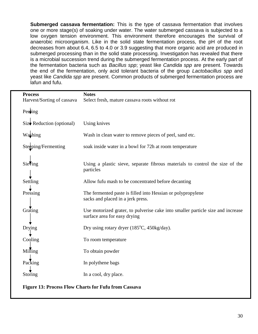**Submerged cassava fermentation:** This is the type of cassava fermentation that involves one or more stage(s) of soaking under water. The water submerged cassava is subjected to a low oxygen tension environment. This environment therefore encourages the survival of anaerobic microorganism. Like in the solid state fermentation process, the pH of the root decreases from about 6.4, 6.5 to 4.0 or 3.9 suggesting that more organic acid are produced in submerged processing than in the solid state processing. Investigation has revealed that there is a microbial succession trend during the submerged fermentation process. At the early part of the fermentation bacteria such as *Bacillus spp*; yeast like *Candida spp* are present. Towards the end of the fermentation, only acid tolerant bacteria of the group *Lactobacillus spp* and yeast like *Candida spp* are present. Common products of submerged fermentation process are lafun and fufu.

| <b>Process</b><br>Harvest/Sorting of cassava                | <b>Notes</b><br>Select fresh, mature cassava roots without rot                                                  |  |
|-------------------------------------------------------------|-----------------------------------------------------------------------------------------------------------------|--|
| Peeling                                                     |                                                                                                                 |  |
| $Size \blacktriangleright$ Reduction (optional)             | Using knives                                                                                                    |  |
| Washing                                                     | Wash in clean water to remove pieces of peel, sand etc.                                                         |  |
| Steeping/Fermenting                                         | soak inside water in a bowl for 72h at room temperature                                                         |  |
| Sieving                                                     | Using a plastic sieve, separate fibrous materials to control the size of the<br>particles                       |  |
| Settling                                                    | Allow fufu mash to be concentrated before decanting                                                             |  |
| Pressing                                                    | The fermented paste is filled into Hessian or polypropylene<br>sacks and placed in a jerk press.                |  |
| Grating                                                     | Use motorized grater, to pulverise cake into smaller particle size and increase<br>surface area for easy drying |  |
| Drying                                                      | Dry using rotary dryer $(185^{\circ}C, 450 \text{kg/day})$ .                                                    |  |
| Cooling                                                     | To room temperature                                                                                             |  |
| Milling                                                     | To obtain powder                                                                                                |  |
| Packing                                                     | In polythene bags                                                                                               |  |
| Storing                                                     | In a cool, dry place.                                                                                           |  |
| <b>Figure 13: Process Flow Charts for Fufu from Cassava</b> |                                                                                                                 |  |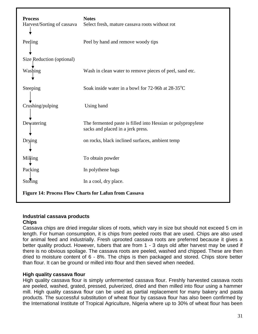| <b>Process</b><br>Harvest/Sorting of cassava                 | <b>Notes</b><br>Select fresh, mature cassava roots without rot                                   |  |
|--------------------------------------------------------------|--------------------------------------------------------------------------------------------------|--|
| Peeling                                                      | Peel by hand and remove woody tips                                                               |  |
| Size Reduction (optional)                                    |                                                                                                  |  |
| Washing                                                      | Wash in clean water to remove pieces of peel, sand etc.                                          |  |
| Steeping                                                     | Soak inside water in a bowl for 72-96h at 28-35 <sup>°</sup> C                                   |  |
| Crushing/pulping                                             | Using hand                                                                                       |  |
| Dewatering                                                   | The fermented paste is filled into Hessian or polypropylene<br>sacks and placed in a jerk press. |  |
| Drying                                                       | on rocks, black inclined surfaces, ambient temp                                                  |  |
| Milling                                                      | To obtain powder                                                                                 |  |
| Packing                                                      | In polythene bags                                                                                |  |
| Storing                                                      | In a cool, dry place.                                                                            |  |
| <b>Figure 14: Process Flow Charts for Lafun from Cassava</b> |                                                                                                  |  |

# **Industrial cassava products**

## **Chips**

Cassava chips are dried irregular slices of roots, which vary in size but should not exceed 5 cm in length. For human consumption, it is chips from peeled roots that are used. Chips are also used for animal feed and industrially. Fresh uprooted cassava roots are preferred because it gives a better quality product. However, tubers that are from 1 - 3 days old after harvest may be used if there is no obvious spoilage. The cassava roots are peeled, washed and chipped. These are then dried to moisture content of 6 - 8%. The chips is then packaged and stored. Chips store better than flour. It can be ground or milled into flour and then sieved when needed.

# **High quality cassava flour**

High quality cassava flour is simply unfermented cassava flour. Freshly harvested cassava roots are peeled, washed, grated, pressed, pulverized, dried and then milled into flour using a hammer mill. High quality cassava flour can be used as partial replacement for many bakery and pasta products. The successful substitution of wheat flour by cassava flour has also been confirmed by the International Institute of Tropical Agriculture, Nigeria where up to 30% of wheat flour has been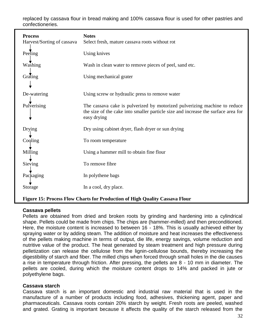replaced by cassava flour in bread making and 100% cassava flour is used for other pastries and confectioneries.

| <b>Process</b><br>Harvest/Sorting of cassava                                | <b>Notes</b><br>Select fresh, mature cassava roots without rot                                                                                                                |  |
|-----------------------------------------------------------------------------|-------------------------------------------------------------------------------------------------------------------------------------------------------------------------------|--|
| Peeling                                                                     | Using knives                                                                                                                                                                  |  |
| Washing                                                                     | Wash in clean water to remove pieces of peel, sand etc.                                                                                                                       |  |
| Grating                                                                     | Using mechanical grater                                                                                                                                                       |  |
|                                                                             |                                                                                                                                                                               |  |
| De-watering                                                                 | Using screw or hydraulic press to remove water                                                                                                                                |  |
| Pulverising                                                                 | The cassava cake is pulverized by motorized pulverizing machine to reduce<br>the size of the cake into smaller particle size and increase the surface area for<br>easy drying |  |
| Drying                                                                      | Dry using cabinet dryer, flash dryer or sun drying                                                                                                                            |  |
| Cooling                                                                     | To room temperature                                                                                                                                                           |  |
| Milling                                                                     | Using a hammer mill to obtain fine flour                                                                                                                                      |  |
| Sieving                                                                     | To remove fibre                                                                                                                                                               |  |
| Packaging                                                                   | In polythene bags                                                                                                                                                             |  |
| Storage                                                                     | In a cool, dry place.                                                                                                                                                         |  |
| Figure 15: Process Flow Charts for Production of High Quality Cassava Flour |                                                                                                                                                                               |  |

# **Cassava pellets**

Pellets are obtained from dried and broken roots by grinding and hardening into a cylindrical shape. Pellets could be made from chips. The chips are (hammer-milled) and then preconditioned. Here, the moisture content is increased to between 16 - 18%. This is usually achieved either by spraying water or by adding steam. The addition of moisture and heat increases the effectiveness of the pellets making machine in terms of output, die life, energy savings, volume reduction and nutritive value of the product. The heat generated by steam treatment and high pressure during pelletization can release the cellulose from the lignin-cellulose bounds, thereby increasing the digestibility of starch and fiber. The milled chips when forced through small holes in the die causes a rise in temperature through friction. After pressing, the pellets are 8 - 10 mm in diameter. The pellets are cooled, during which the moisture content drops to 14% and packed in jute or polyethylene bags.

## **Cassava starch**

Cassava starch is an important domestic and industrial raw material that is used in the manufacture of a number of products including food, adhesives, thickening agent, paper and pharmaceuticals. Cassava roots contain 20% starch by weight. Fresh roots are peeled, washed and grated. Grating is important because it affects the quality of the starch released from the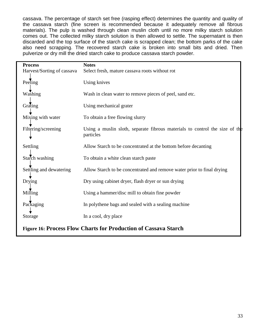cassava. The percentage of starch set free (rasping effect) determines the quantity and quality of the cassava starch (fine screen is recommended because it adequately remove all fibrous materials). The pulp is washed through clean muslin cloth until no more milky starch solution comes out. The collected milky starch solution is then allowed to settle. The supernatant is then discarded and the top surface of the starch cake is scrapped clean; the bottom parks of the cake also need scrapping. The recovered starch cake is broken into small bits and dried. Then pulverize or dry mill the dried starch cake to produce cassava starch powder.

| <b>Process</b>                                                         | <b>Notes</b>                                                                             |  |
|------------------------------------------------------------------------|------------------------------------------------------------------------------------------|--|
| Harvest/Sorting of cassava                                             | Select fresh, mature cassava roots without rot                                           |  |
| Peeling                                                                | <b>Using knives</b>                                                                      |  |
| Washing                                                                | Wash in clean water to remove pieces of peel, sand etc.                                  |  |
| Grating                                                                | Using mechanical grater                                                                  |  |
| Mixing with water                                                      | To obtain a free flowing slurry                                                          |  |
| Filtering/screening                                                    | Using a muslin sloth, separate fibrous materials to control the size of the<br>particles |  |
| Settling                                                               | Allow Starch to be concentrated at the bottom before decanting                           |  |
| Starch washing                                                         | To obtain a white clean starch paste                                                     |  |
| Settling and dewatering                                                | Allow Starch to be concentrated and remove water prior to final drying                   |  |
| Drying                                                                 | Dry using cabinet dryer, flash dryer or sun drying                                       |  |
| Milling                                                                | Using a hammer/disc mill to obtain fine powder                                           |  |
| Packaging                                                              | In polythene bags and sealed with a sealing machine                                      |  |
| Storage                                                                | In a cool, dry place                                                                     |  |
| <b>Figure 16: Process Flow Charts for Production of Cassava Starch</b> |                                                                                          |  |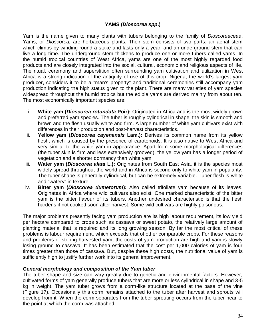# **YAMS (***Dioscorea spp***.)**

Yam is the name given to many plants with tubers belonging to the family of *Dioscoreaceae*. Yams, or *Dioscorea,* are herbaceous plants. Their stem consists of two parts: an aerial stem which climbs by winding round a stake and lasts only a year; and an underground stem that can live a long time. The underground stem thickens to produce one or more tubers called yams. In the humid tropical countries of West Africa, yams are one of the most highly regarded food products and are closely integrated into the social, cultural, economic and religious aspects of life. The ritual, ceremony and superstition often surrounding yam cultivation and utilization in West Africa is a strong indication of the antiquity of use of this crop. Nigeria, the world's largest yam producer, considers it to be a "man's property" and traditional ceremonies still accompany yam production indicating the high status given to the plant. There are many varieties of yam species widespread throughout the humid tropics but the edible yams are derived mainly from about ten. The most economically important species are:

- i. **White yam (***Dioscorea rotundata* **Poir):** Originated in Africa and is the most widely grown and preferred yam species. The tuber is roughly cylindrical in shape, the skin is smooth and brown and the flesh usually white and firm. A large number of white yam cultivars exist with differences in their production and post-harvest characteristics.
- ii. **Yellow yam (***Dioscorea cayenensis* **Lam.):** Derives its common name from its yellow flesh, which is caused by the presence of carotenoids. It is also native to West Africa and very similar to the white yam in appearance. Apart from some morphological differences (the tuber skin is firm and less extensively grooved), the yellow yam has a longer period of vegetation and a shorter dormancy than white yam.
- iii. **Water yam (***Dioscorea alata* **L.):** Originates from South East Asia, it is the species most widely spread throughout the world and in Africa is second only to white yam in popularity. The tuber shape is generally cylindrical, but can be extremely variable. Tuber flesh is white and "watery" in texture.
- iv. **Bitter yam (***Dioscorea dumetorum***):** Also called trifoliate yam because of its leaves. Originates in Africa where wild cultivars also exist. One marked characteristic of the bitter yam is the bitter flavour of its tubers. Another undesired characteristic is that the flesh hardens if not cooked soon after harvest. Some wild cultivars are highly poisonous.

The major problems presently facing yam production are its high labour requirement, its low yield per hectare compared to crops such as cassava or sweet potato, the relatively large amount of planting material that is required and its long growing season. By far the most critical of these problems is labour requirement, which exceeds that of other comparable crops. For these reasons and problems of storing harvested yam, the costs of yam production are high and yam is slowly losing ground to cassava. It has been estimated that the cost per 1,000 calories of yam is four times greater than those of cassava. But, despite these high costs, the nutritional value of yam is sufficiently high to justify further work into its general improvement.

## *General morphology and composition of the Yam tuber*

The tuber shape and size can vary greatly due to genetic and environmental factors. However, cultivated forms of yam generally produce tubers that are more or less cylindrical in shape and 3-5 kg in weight. The yam tuber grows from a corm-like structure located at the base of the vine (Figure 17). Occasionally this corm remains attached to the tuber after harvest and sprouts will develop from it. When the corm separates from the tuber sprouting occurs from the tuber near to the point at which the corm was attached.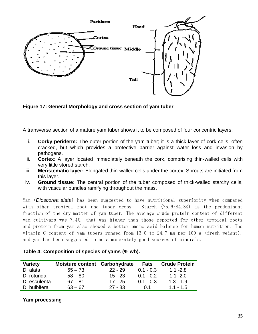

**Figure 17: General Morphology and cross section of yam tuber**

A transverse section of a mature yam tuber shows it to be composed of four concentric layers:

- i. **Corky periderm:** The outer portion of the yam tuber; it is a thick layer of cork cells, often cracked, but which provides a protective barrier against water loss and invasion by pathogens.
- ii. **Cortex**: A layer located immediately beneath the cork, comprising thin-walled cells with very little stored starch.
- iii. **Meristematic layer:** Elongated thin-walled cells under the cortex. Sprouts are initiated from this layer.
- iv. **Ground tissue:** The central portion of the tuber composed of thick-walled starchy cells, with vascular bundles ramifying throughout the mass.

Yam (*Dioscorea alata*) has been suggested to have nutritional superiority when compared with other tropical root and tuber crops. Starch (75.6-84.3%) is the predominant fraction of the dry matter of yam tuber. The average crude protein content of different yam cultivars was 7.4%, that was higher than those reported for other tropical roots and protein from yam also showed a better amino acid balance for human nutrition. The vitamin C content of yam tubers ranged from 13.0 to 24.7 mg per 100 g (fresh weight), and yam has been suggested to be a moderately good sources of minerals.

| <b>Variety</b> | Moisture content Carbohydrate |           | <b>Fats</b> | <b>Crude Protein</b> |
|----------------|-------------------------------|-----------|-------------|----------------------|
| D. alata       | $65 - 73$                     | $22 - 29$ | $0.1 - 0.3$ | $1.1 - 2.8$          |
| D. rotunda     | $58 - 80$                     | $15 - 23$ | $0.1 - 0.2$ | $1.1 - 2.0$          |
| D. esculenta   | $67 - 81$                     | $17 - 25$ | $0.1 - 0.3$ | $1.3 - 1.9$          |
| D. bulbifera   | $63 - 67$                     | $27 - 33$ | O 1         | $1.1 - 1.5$          |

| Table 4: Composition of species of yams (% wb). |  |  |  |
|-------------------------------------------------|--|--|--|
|-------------------------------------------------|--|--|--|

# **Yam processing**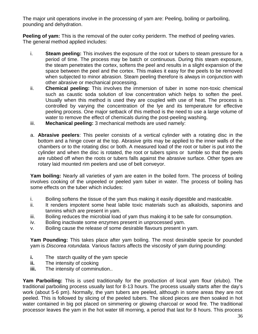The major unit operations involve in the processing of yam are: Peeling, boiling or parboiling, pounding and dehydration.

**Peeling of yam:** This is the removal of the outer corky periderm. The method of peeling varies. The general method applied includes:

- i. **Steam peeling:** This involves the exposure of the root or tubers to steam pressure for a period of time. The process may be batch or continuous. During this steam exposure, the steam penetrates the cortex, softens the peel and results in a slight expansion of the space between the peel and the cortex. This makes it easy for the peels to be removed when subjected to minor abrasion. Steam peeling therefore is always in conjunction with other abrasive or mechanical processing.
- ii. **Chemical peeling:** This involves the immersion of tuber in some non-toxic chemical such as caustic soda solution of low concentration which helps to soften the peel. Usually when this method is used they are coupled with use of heat. The process is controlled by varying the concentration of the lye and its temperature for effective peeling process. One major setback of this method is the need to use a large volume of water to remove the effect of chemicals during the post-peeling washing.
- iii. **Mechanical peeling:** 3 mechanical methods are used namely:
- a. **Abrasive peelers**: This peeler consists of a vertical cylinder with a rotating disc in the bottom and a hinge cover at the top. Abrasive grits may be applied to the inner walls of the chambers or to the rotating disc or both. A measured load of the root or tuber is put into the cylinder and when the disc is rotated, the root or tubers spins or tumble so that the peels are rubbed off when the roots or tubers falls against the abrasive surface. Other types are rotary laid mounted rim peelers and use of belt conveyor.

**Yam boiling:** Nearly all varieties of yam are eaten in the boiled form. The process of boiling involves cooking of the unpeeled or peeled yam tuber in water. The process of boiling has some effects on the tuber which includes:

- i. Boiling softens the tissue of the yam thus making it easily digestible and masticable.
- ii. It renders impotent some heat labile toxic materials such as alkaloids, saponins and tannins which are present in yam.
- iii. Boiling reduces the microbial load of yam thus making it to be safe for consumption.
- iv. Boiling inactivate some enzymes present in unprocessed yam.
- v. Boiling cause the release of some desirable flavours present in yam.

**Yam Pounding:** This takes place after yam boiling. The most desirable specie for pounded yam is *Discorea rotundata.* Various factors affects the viscosity of yam during pounding:

- **i.** The starch quality of the yam specie
- **ii.** The intensity of cooking
- **iii.** The intensity of comminution..

**Yam Parboiling:** This is used traditionally for the production of local yam flour (elubo). The traditional parboiling process usually last for 8-13 hours. The process usually starts after the day's work (about 5-6 pm). Normally, the yam tubers are peeled, although in some areas they are not peeled. This is followed by slicing of the peeled tubers. The sliced pieces are then soaked in hot water contained in big pot placed on simmering or glowing charcoal or wood fire. The traditional processor leaves the yam in the hot water till morning, a period that last for 8 hours. This process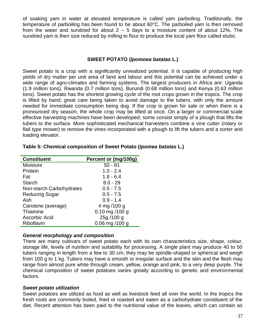of soaking yam in water at elevated temperature is called yam parboiling. Traditionally, the temperature of parboiling has been found to be about 60°C. The parboiled yam is then removed from the water and sundried for about  $2 - 5$  days to a moisture content of about 12%. The sundried yam is then size reduced by milling to flour to produce the local yam flour called elubo.

# **SWEET POTATO (***Ipomoea batatas* **L.)**

Sweet potato is a crop with a significantly unrealized potential. It is capable of producing high yields of dry matter per unit area of land and labour and this potential can be achieved under a wide range of agro-climates and farming systems. The largest producers in Africa are: Uganda (1.9 million tons), Rwanda (0.7 million tons), Burundi (0.68 million tons) and Kenya (0.63 million tons). Sweet potato has the shortest growing cycle of the root crops grown in the tropics. The crop is lifted by hand; great care being taken to avoid damage to the tubers, with only the amount needed for immediate consumption being dug. If the crop is grown for sale or when there is a pronounced dry season, the whole crop may be lifted at once. On a larger or commercial scale effective harvesting machines have been developed; some consist simply of a plough that lifts the tubers to the surface. More sophisticated mechanical harvesters combine a vine cutter (rotary or flail type mower) to remove the vines incorporated with a plough to lift the tubers and a sorter and loading elevator.

| <b>Constituent</b>       | Percent or (mg/100g) |
|--------------------------|----------------------|
| Moisture                 | $50 - 81$            |
| Protein                  | $1.0 - 2.4$          |
| Fat                      | $1.8 - 6.4$          |
| <b>Starch</b>            | $8.0 - 29$           |
| Non-starch Carbohydrates | $0.5 - 7.5$          |
| <b>Reducing Sugar</b>    | $0.5 - 7.5$          |
| Ash                      | $0.9 - 1.4$          |
| Carotene (average)       | 4 mg /100 g          |
| Thiamine                 | $0.10$ mg /100 g     |
| Ascorbic Acid            | 25g/100 g            |
| Riboflavin               | $0.06$ mg $/100$ g   |

## **Table 5: Chemical composition of Sweet Potato (***Ipomea batatas* **L.)**

## *General morphology and composition*

There are many cultivars of sweet potato each with its own characteristics size, shape, colour, storage life, levels of nutrition and suitability for processing. A single plant may produce 40 to 50 tubers ranging in length from a few to 30 cm; they may be spindle-shaped or spherical and weigh from 100 g to 1 kg. Tubers may have a smooth or irregular surface and the skin and the flesh may range from almost pure white through cream, yellow, orange and pink, to a very deep purple. The chemical composition of sweet potatoes varies greatly according to genetic and environmental factors.

## *Sweet potato utilization*

Sweet potatoes are utilized as food as well as livestock feed all over the world. In the tropics the fresh roots are commonly boiled, fried or roasted and eaten as a carbohydrate constituent of the diet. Recent attention has been paid to the nutritional value of the leaves, which can contain as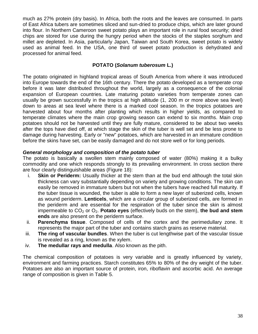much as 27% protein (dry basis). In Africa, both the roots and the leaves are consumed. In parts of East Africa tubers are sometimes sliced and sun-dried to produce chips, which are later ground into flour. In Northern Cameroon sweet potato plays an important role in rural food security; dried chips are stored for use during the hungry period when the stocks of the staples sorghum and millet are depleted. In Asia, particularly Japan, Taiwan and South Korea, sweet potato is widely used as animal feed. In the USA, one third of sweet potato production is dehydrated and processed for animal feed.

# **POTATO (***Solanum tuberosum* **L.)**

The potato originated in highland tropical areas of South America from where it was introduced into Europe towards the end of the 16th century. There the potato developed as a temperate crop before it was later distributed throughout the world, largely as a consequence of the colonial expansion of European countries. Late maturing potato varieties from temperate zones can usually be grown successfully in the tropics at high altitude (1, 200 m or more above sea level) down to areas at sea level where there is a marked cool season. In the tropics potatoes are harvested about four months after planting which results in higher yields, as compared to temperate climates where the main crop growing season can extend to six months. Main crop potatoes should not be harvested until they are fully mature, considered to be about two weeks after the tops have died off, at which stage the skin of the tuber is well set and be less prone to damage during harvesting. Early or "new" potatoes, which are harvested in an immature condition before the skins have set, can be easily damaged and do not store well or for long periods.

## *General morphology and composition of the potato tuber*

The potato is basically a swollen stem mainly composed of water (80%) making it a bulky commodity and one which responds strongly to its prevailing environment. In cross section there are four clearly distinguishable areas (Figure 18):

- i. **Skin or Periderm:** Usually thicker at the stem than at the bud end although the total skin thickness can vary substantially depending on variety and growing conditions. The skin can easily be removed in immature tubers but not when the tubers have reached full maturity. If the tuber tissue is wounded, the tuber is able to form a new layer of suberized cells, known as wound periderm. **Lenticels**, which are a circular group of suberized cells, are formed in the periderm and are essential for the respiration of the tuber since the skin is almost impermeable to CO<sub>2</sub> or O<sub>2</sub>. **Potato eyes** (effectively buds on the stem), the bud and stem **ends** are also present on the periderm surface.
- ii. **Parenchyma tissue**. Composed of cells of the cortex and the perimedullary zone. It represents the major part of the tuber and contains starch grains as reserve material.
- iii. **The ring of vascular bundles**. When the tuber is cut lengthwise part of the vascular tissue is revealed as a ring, known as the xylem.
- iv. **The medullar rays and medulla**. Also known as the pith.

The chemical composition of potatoes is very variable and is greatly influenced by variety, environment and farming practices. Starch constitutes 65% to 80% of the dry weight of the tuber. Potatoes are also an important source of protein, iron, riboflavin and ascorbic acid. An average range of composition is given in Table 5.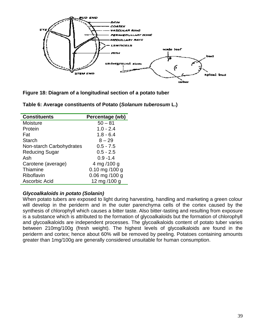

**Figure 18: Diagram of a longitudinal section of a potato tuber**

| <b>Constituents</b>      | Percentage (wb)  |
|--------------------------|------------------|
| Moisture                 | $50 - 81$        |
| Protein                  | $1.0 - 2.4$      |
| Fat                      | $1.8 - 6.4$      |
| <b>Starch</b>            | $8 - 29$         |
| Non-starch Carbohydrates | $0.5 - 7.5$      |
| Reducing Sugar           | $0.5 - 2.5$      |
| Ash                      | $0.9 - 1.4$      |
| Carotene (average)       | 4 mg /100 g      |
| Thiamine                 | $0.10$ mg /100 g |
| Riboflavin               | 0.06 mg /100 g   |
| Ascorbic Acid            | 12 mg /100 g     |

**Table 6: Average constituents of Potato (***Solanum tuberosum* **L.)**

## *Glycoalkaloids in potato (Solanin)*

When potato tubers are exposed to light during harvesting, handling and marketing a green colour will develop in the periderm and in the outer parenchyma cells of the cortex caused by the synthesis of chlorophyll which causes a bitter taste. Also bitter-tasting and resulting from exposure is a substance which is attributed to the formation of glycoalkaloids but the formation of chlorophyll and glycoalkaloids are independent processes. The glycoalkaloids content of potato tuber varies between 210mg/100g (fresh weight). The highest levels of glycoalkaloids are found in the periderm and cortex; hence about 60% will be removed by peeling. Potatoes containing amounts greater than 1mg/100g are generally considered unsuitable for human consumption.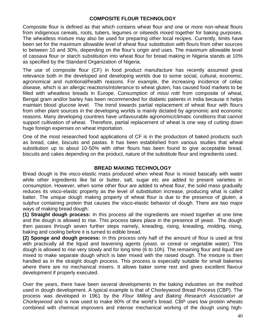# **COMPOSITE FLOUR TECHNOLOGY**

Composite flour is defined as that which contains wheat flour and one or more non-wheat flours from indigenous cereals, roots, tubers, legumes or oilseeds mixed together for baking purposes. The wheatless mixture may also be used for preparing other local recipes. Currently, limits have been set for the maximum allowable level of wheat flour substitution with flours from other sources to between 10 and 30%, depending on the flour's origin and uses. The maximum allowable level of cassava flour or starch substitution into wheat flour for bread making in Nigeria stands at 10% as specified by the Standard Organization of Nigeria.

The use of composite flour (CF) in food product manufacture has recently assumed great relevance both in the developed and developing worlds due to some social, cultural, economic, agronomical and nutritional/health reasons. For example, the increasing incidence of celiac disease, which is an allergic reactions/intolerance to wheat gluten, has caused food markets to be filled with wheatless breads in Europe. Consumption of *missi rotti* from composite of wheat, Bengal gram and/or barley has been recommended for diabetic patients in India because it helps maintain blood glucose level. The trend towards partial replacement of wheat flour with flours from other plant sources in the developing worlds is mainly dictated by agronomic and economic reasons. Many developing countries have unfavourable agronomic/climatic conditions that cannot support cultivation of wheat. Therefore, partial replacement of wheat is one way of cutting down huge foreign expenses on wheat importation.

One of the most researched food applications of CF is in the production of baked products such as bread, cake, biscuits and pastas. It has been established from various studies that wheat substitution up to about 10-50% with other flours has been found to give acceptable bread, biscuits and cakes depending on the product, nature of the substitute flour and ingredients used.

## **BREAD MAKING TECHNOLOGY**

Bread dough is the visco-elastic mass produced when wheat flour is mixed basically with water while other ingredients like fat or butter, salt, sugar etc are added to present varieties in consumption. However, when some other flour are added to wheat flour, the solid mass gradually reduces its visco-elastic property as the level of substitution increase, producing what is called batter. The unique dough making property of wheat flour is due to the presence of gluten, a sulphur containing protein that causes the visco-elastic behavior of dough. There are two major ways of making bread dough:

**(1) Straight dough process:** In this process all the ingredients are mixed together at one time and the dough is allowed to rise. This process takes place in the presence of yeast. The dough then passes through seven further steps namely, kneading, rising, kneading, molding, rising, baking and cooling before it is turned to edible bread.

**(2) Sponge and dough process:** In this process only half of the amount of flour is used at first with practically all the liquid and leavening agents (yeast, or cereal or vegetable water). This dough is allowed to rise very slowly and for long time (6 to 10h). The remaining flour and liquid are mixed to make separate dough which is later mixed with the raised dough. The mixture is then handled as in the straight dough process. This process is especially suitable for small bakeries where there are no mechanical mixers. It allows baker some rest and gives excellent flavour development if properly executed.

Over the years, there have been several developments in the baking industries on the method used in dough development. A typical example is that of Chorleywood Bread Process (CBP). The process was developed in 1961 by the *Flour Milling and Baking Research Association at Chorleywood* and is now used to make 80% of the world's bread. CBP uses low protein wheats combined with chemical improvers and intense mechanical working of the dough using high